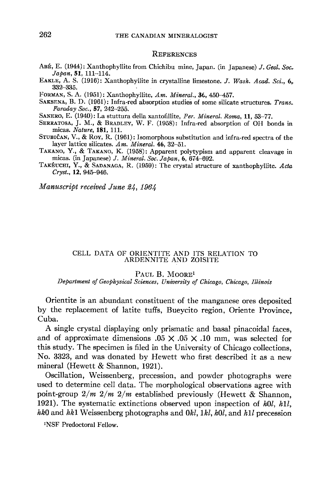### **REFERENCES**

- ABÉ, E. (1944): Xanthophyllite from Chichibu mine, Japan. (in Japanese) J. Geol. Soc. Japan, 51, 111-114.
- EAKLE, A. S. (1916): Xanthophyllite in crystalline limestone. J. Wash. Acad. Sci., 6.  $332 - 335.$
- FORMAN, S. A. (1951): Xanthophyllite, Am. Mineral., 36, 450-457.
- SAKSENA, B. D. (1961): Infra-red absorption studies of some silicate structures. Trans. Faraday Soc., 57, 242-255.
- SANERO, E. (1940): La stuttura della xantofillite, Per. Mineral. Roma, 11, 53-77.
- SERRATOSA, J. M., & BRADLEY, W. F. (1958): Infra-red absorption of OH bonds in micas. Nature, 181, 111.
- STUBIČAN, V., & ROY, R. (1961): Isomorphous substitution and infra-red spectra of the layer lattice silicates.  $Am.$  Mineral. 46, 32-51.
- TAKANO, Y., & TAKANO, K. (1958): Apparent polytypism and apparent cleavage in micas. (in Japanese) J. Mineral. Soc. Japan, 6, 674-692.
- TAKÉUCHI, Y., & SADANAGA, R. (1959): The crystal structure of xanthophyllite. Acta Cryst., 12, 945-946.

Manuscript received June 24, 1964

### CELL DATA OF ORIENTITE AND ITS RELATION TO ARDENNITE AND ZOISITE

#### PAUL B. MOORE<sup>1</sup>

Department of Geophysical Sciences, University of Chicago, Chicago, Illinois

Orientite is an abundant constituent of the manganese ores deposited by the replacement of latite tuffs, Bueycito region, Oriente Province, Cuba.

A single crystal displaying only prismatic and basal pinacoidal faces. and of approximate dimensions  $.05 \times .05 \times .10$  mm, was selected for this study. The specimen is filed in the University of Chicago collections, No. 3323, and was donated by Hewett who first described it as a new mineral (Hewett & Shannon, 1921).

Oscillation, Weissenberg, precession, and powder photographs were used to determine cell data. The morphological observations agree with point-group  $2/m$   $2/m$  established previously (Hewett & Shannon, 1921). The systematic extinctions observed upon inspection of  $h0l$ ,  $h1l$ , hk0 and hk1 Weissenberg photographs and 0kl, 1kl, h0l, and h1l precession

<sup>1</sup>NSF Predoctoral Fellow.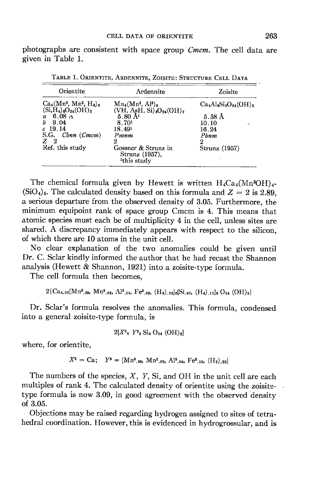photographs are consistent with space group Cmcm. The cell data are given in Table 1.

| Orientite                                                                           | Ardennite                                                                       | Zoisite<br>$Ca4Al6Si6O24(OH)2$<br>$5.58~\mathrm{\AA}$ |  |  |
|-------------------------------------------------------------------------------------|---------------------------------------------------------------------------------|-------------------------------------------------------|--|--|
| $Ca_4(Mn^3, Mn^2, H_3)_{6}$<br>$(Si, H_4)_{6}O_{24}(OH)_2$<br>$6.08 \text{ A}$<br>a | $Mn_4(Mn^3, Al^3)_6$<br>$(VH, AsH, Si)_{6}O_{24}(OH)_{2}$<br>$5.80 \; \rm{\AA}$ |                                                       |  |  |
| 9.04<br>$c$ 19.14<br>S.G. Chnn (Cmcm)                                               | 8.70 <sup>1</sup><br>18.491<br>Pmnm                                             | 10.10<br>۰.<br>16.24<br>Pbnm                          |  |  |
| $Z_{2}$<br>Ref. this study                                                          | 2<br>Gossner & Strunz in<br>Strunz (1957),<br><sup>1</sup> this study           | 2<br>Strunz (1957)                                    |  |  |

TABLE 1. ORIENTITE, ARDENNITE, ZOISITE: STRUCTURE CELL DATA

The chemical formula given by Hewett is written  $H_4Ca_4(Mn^3OH)_4$ - $(SiO<sub>4</sub>)_5$ . The calculated density based on this formula and  $Z = 2$  is 2.89. a serious departure from the observed density of 3.05. Furthermore, the minimum equipoint rank of space group Cmcm is 4. This means that atomic species must each be of multiplicity 4 in the cell, unless sites are shared. A discrepancy immediately appears with respect to the silicon, of which there are 10 atoms in the unit cell.

No clear explanation of the two anomalies could be given until Dr. C. Sclar kindly informed the author that he had recast the Shannon analysis (Hewett & Shannon, 1921) into a zoisite-type formula.

The cell formula then becomes.

$$
2{Ca_{4.00}[Mn^{3}._{88}, Mn^{2}._{02}, Al^{3}._{04}, Fe^{3}._{03}, (H_{3})._{23}]_{6}[Si_{.90}, (H_{4})._{10}]_{6}O_{24}(OH)_{2}}
$$

Dr. Sclar's formula resolves the anomalies. This formula, condensed into a general zoisite-type formula, is

$$
2[X^2_4 \ Y^3_6 \text{Si}_6 O_{24} \text{ (OH)}_2]
$$

where, for orientite,

$$
X^2 = \text{Ca}; \quad Y^3 = [\text{Mn}^3_{.68}, \text{Mn}^2_{.02}, \text{Al}^3_{.04}, \text{Fe}^3_{.03}, (\text{H}_3)_{.28}]
$$

The numbers of the species,  $X$ ,  $Y$ , Si, and OH in the unit cell are each multiples of rank 4. The calculated density of orientite using the zoisitetype formula is now 3.09, in good agreement with the observed density of  $3.05$ .

Objections may be raised regarding hydrogen assigned to sites of tetrahedral coordination. However, this is evidenced in hydrogrossular, and is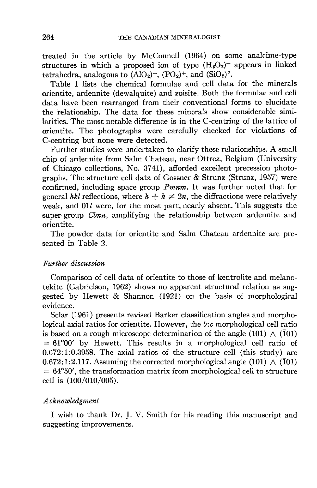treated in the article by McConnell (196a) on some analcime-type structures in which a proposed ion of type  $(H_3O_2)$ <sup>-</sup> appears in linked tetrahedra, analogous to  $(AIO<sub>2</sub>)^-$ ,  $(PO<sub>2</sub>)^+$ , and  $(SiO<sub>2</sub>)°$ .

Table L lists the chemical formulae and cell data for the minerals orientite, ardennite (dewalquite) and zoisite. Both the formulae and cell data have been rearranged from their conventional forms to elucidate the relationship. The data for these minerals show considerable similarities. The most notable difference is in the C-centring of the lattice of orientite. The photographs were carefully checked for violations of C-centring but none were detected.

Further studies were undertaken to clarify these relationships. A small chip of ardennite from Salm Chateau, near Ottrez, Belgium (University of Chicago collections, No. 3741), afforded excellent precession photographs. The structure cell data of Gossner & Strunz (Strunz, 1957) were confirmed, including space group Pmnm. It was further noted that for general hkl reflections, where  $h + k \neq 2n$ , the diffractions were relatively weak, and 011 were, for the most part, nearly absent. This suggests the super-group *Cbnn*, amplifying the relationship between ardennite and orientite.

The powder data for orientite and Salm Chateau ardennite are presented in Table 2.

# Further d'iscussion

Comparison of cell data of orientite to those of kentrolite and melanotekite (Gabrielson, 1962) shows no apparent structural relation as suggested by Hewett & Shannon (1921) on the basis of morphological evidence.

Sclar (1961) presents revised Barker classification angles and morphological axial ratios for orientite. However, the b:c morphological cell ratio is based on a rough microscope determination of the angle (101)  $\wedge$  (101)  $= 61°00'$  by Hewett. This results in a morphological cell ratio of 0.672:1:0.3958. The axial ratios of the structure cell (this study) are 0.672:1:2.117. Assuming the corrected morphological angle (101)  $\wedge$  (101) = 64°50', the transformation matrix from morphological cell to structure cell is (100/010/005).

# Acknowled,gment

I wish to thank Dr. J. V. Smith for his reading this manuscript and suggesting improvements.